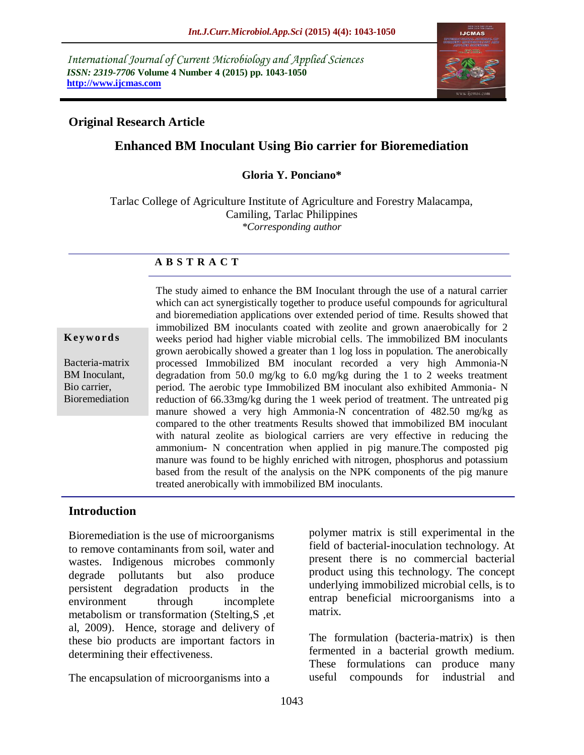*International Journal of Current Microbiology and Applied Sciences ISSN: 2319-7706* **Volume 4 Number 4 (2015) pp. 1043-1050 http://www.ijcmas.com** 



# **Original Research Article**

# **Enhanced BM Inoculant Using Bio carrier for Bioremediation**

#### **Gloria Y. Ponciano\***

Tarlac College of Agriculture Institute of Agriculture and Forestry Malacampa, Camiling, Tarlac Philippines *\*Corresponding author*

# **A B S T R A C T**

#### **Key w o rd s**

Bacteria-matrix BM Inoculant, Bio carrier, Bioremediation The study aimed to enhance the BM Inoculant through the use of a natural carrier which can act synergistically together to produce useful compounds for agricultural and bioremediation applications over extended period of time. Results showed that immobilized BM inoculants coated with zeolite and grown anaerobically for 2 weeks period had higher viable microbial cells. The immobilized BM inoculants grown aerobically showed a greater than 1 log loss in population. The anerobically processed Immobilized BM inoculant recorded a very high Ammonia-N degradation from 50.0 mg/kg to 6.0 mg/kg during the 1 to 2 weeks treatment period. The aerobic type Immobilized BM inoculant also exhibited Ammonia- N reduction of 66.33mg/kg during the 1 week period of treatment. The untreated pig manure showed a very high Ammonia-N concentration of 482.50 mg/kg as compared to the other treatments Results showed that immobilized BM inoculant with natural zeolite as biological carriers are very effective in reducing the ammonium- N concentration when applied in pig manure.The composted pig manure was found to be highly enriched with nitrogen, phosphorus and potassium based from the result of the analysis on the NPK components of the pig manure treated anerobically with immobilized BM inoculants.

# **Introduction**

Bioremediation is the use of microorganisms to remove contaminants from soil, water and wastes. Indigenous microbes commonly degrade pollutants but also produce persistent degradation products in the environment through incomplete metabolism or transformation (Stelting,S ,et al, 2009). Hence, storage and delivery of these bio products are important factors in determining their effectiveness.

The encapsulation of microorganisms into a

polymer matrix is still experimental in the field of bacterial-inoculation technology. At present there is no commercial bacterial product using this technology. The concept underlying immobilized microbial cells, is to entrap beneficial microorganisms into a matrix.

The formulation (bacteria-matrix) is then fermented in a bacterial growth medium. These formulations can produce many useful compounds for industrial and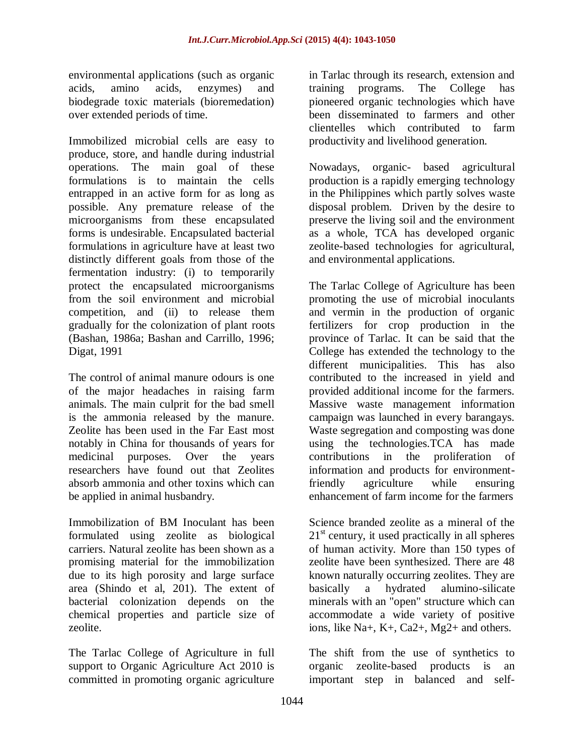environmental applications (such as organic acids, amino acids, enzymes) and biodegrade toxic materials (bioremedation) over extended periods of time.

Immobilized microbial cells are easy to produce, store, and handle during industrial operations. The main goal of these formulations is to maintain the cells entrapped in an active form for as long as possible. Any premature release of the microorganisms from these encapsulated forms is undesirable. Encapsulated bacterial formulations in agriculture have at least two distinctly different goals from those of the fermentation industry: (i) to temporarily protect the encapsulated microorganisms from the soil environment and microbial competition, and (ii) to release them gradually for the colonization of plant roots (Bashan, 1986a; Bashan and Carrillo, 1996; Digat, 1991

The control of animal manure odours is one of the major headaches in raising farm animals. The main culprit for the bad smell is the ammonia released by the manure. Zeolite has been used in the Far East most notably in China for thousands of years for medicinal purposes. Over the years researchers have found out that Zeolites absorb ammonia and other toxins which can be applied in animal husbandry.

Immobilization of BM Inoculant has been formulated using zeolite as biological carriers. Natural zeolite has been shown as a promising material for the immobilization due to its high porosity and large surface area (Shindo et al, 201). The extent of bacterial colonization depends on the chemical properties and particle size of zeolite.

The Tarlac College of Agriculture in full support to Organic Agriculture Act 2010 is committed in promoting organic agriculture in Tarlac through its research, extension and training programs. The College has pioneered organic technologies which have been disseminated to farmers and other clientelles which contributed to farm productivity and livelihood generation.

Nowadays, organic- based agricultural production is a rapidly emerging technology in the Philippines which partly solves waste disposal problem. Driven by the desire to preserve the living soil and the environment as a whole, TCA has developed organic zeolite-based technologies for agricultural, and environmental applications.

The Tarlac College of Agriculture has been promoting the use of microbial inoculants and vermin in the production of organic fertilizers for crop production in the province of Tarlac. It can be said that the College has extended the technology to the different municipalities. This has also contributed to the increased in yield and provided additional income for the farmers. Massive waste management information campaign was launched in every barangays. Waste segregation and composting was done using the technologies.TCA has made contributions in the proliferation of information and products for environmentfriendly agriculture while ensuring enhancement of farm income for the farmers

Science branded zeolite as a mineral of the  $21<sup>st</sup>$  century, it used practically in all spheres of human activity. More than 150 types of zeolite have been synthesized. There are 48 known naturally occurring zeolites. They are basically a hydrated alumino-silicate minerals with an "open" structure which can accommodate a wide variety of positive ions, like Na+, K+, Ca2+, Mg2+ and others.

The shift from the use of synthetics to organic zeolite-based products is an important step in balanced and self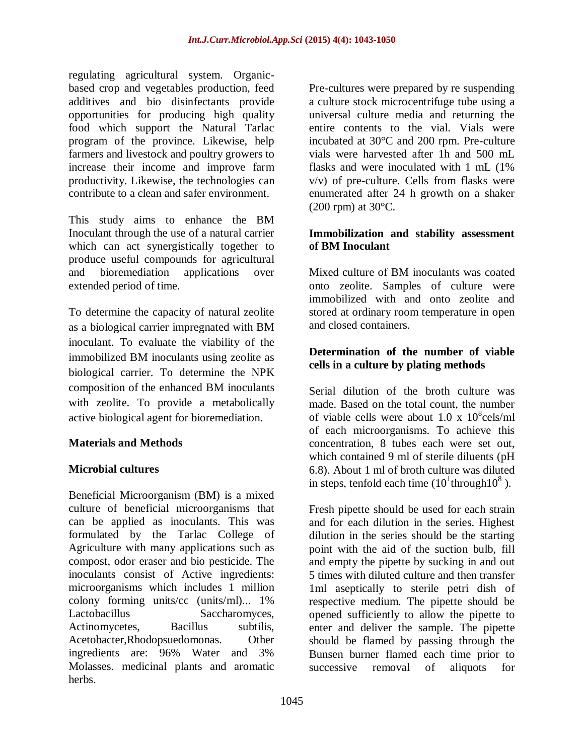regulating agricultural system. Organicbased crop and vegetables production, feed additives and bio disinfectants provide opportunities for producing high quality food which support the Natural Tarlac program of the province. Likewise, help farmers and livestock and poultry growers to increase their income and improve farm productivity. Likewise, the technologies can contribute to a clean and safer environment.

This study aims to enhance the BM Inoculant through the use of a natural carrier which can act synergistically together to produce useful compounds for agricultural and bioremediation applications over extended period of time.

To determine the capacity of natural zeolite as a biological carrier impregnated with BM inoculant. To evaluate the viability of the immobilized BM inoculants using zeolite as biological carrier. To determine the NPK composition of the enhanced BM inoculants with zeolite. To provide a metabolically active biological agent for bioremediation.

# **Materials and Methods**

# **Microbial cultures**

Beneficial Microorganism (BM) is a mixed culture of beneficial microorganisms that can be applied as inoculants. This was formulated by the Tarlac College of Agriculture with many applications such as compost, odor eraser and bio pesticide. The inoculants consist of Active ingredients: microorganisms which includes 1 million colony forming units/cc (units/ml)... 1% Lactobacillus Saccharomyces, Actinomycetes, Bacillus subtilis, Acetobacter,Rhodopsuedomonas. Other ingredients are: 96% Water and 3% Molasses. medicinal plants and aromatic herbs.

Pre-cultures were prepared by re suspending a culture stock microcentrifuge tube using a universal culture media and returning the entire contents to the vial. Vials were incubated at 30°C and 200 rpm. Pre-culture vials were harvested after 1h and 500 mL flasks and were inoculated with 1 mL (1% v/v) of pre-culture. Cells from flasks were enumerated after 24 h growth on a shaker  $(200$  rpm) at  $30^{\circ}$ C.

### **Immobilization and stability assessment of BM Inoculant**

Mixed culture of BM inoculants was coated onto zeolite. Samples of culture were immobilized with and onto zeolite and stored at ordinary room temperature in open and closed containers.

# **Determination of the number of viable cells in a culture by plating methods**

Serial dilution of the broth culture was made. Based on the total count, the number of viable cells were about  $1.0 \times 10^8$ cels/ml of each microorganisms. To achieve this concentration, 8 tubes each were set out, which contained 9 ml of sterile diluents (pH 6.8). About 1 ml of broth culture was diluted in steps, tenfold each time  $(10^1$ through $10^8$ ).

Fresh pipette should be used for each strain and for each dilution in the series. Highest dilution in the series should be the starting point with the aid of the suction bulb, fill and empty the pipette by sucking in and out 5 times with diluted culture and then transfer 1ml aseptically to sterile petri dish of respective medium. The pipette should be opened sufficiently to allow the pipette to enter and deliver the sample. The pipette should be flamed by passing through the Bunsen burner flamed each time prior to successive removal of aliquots for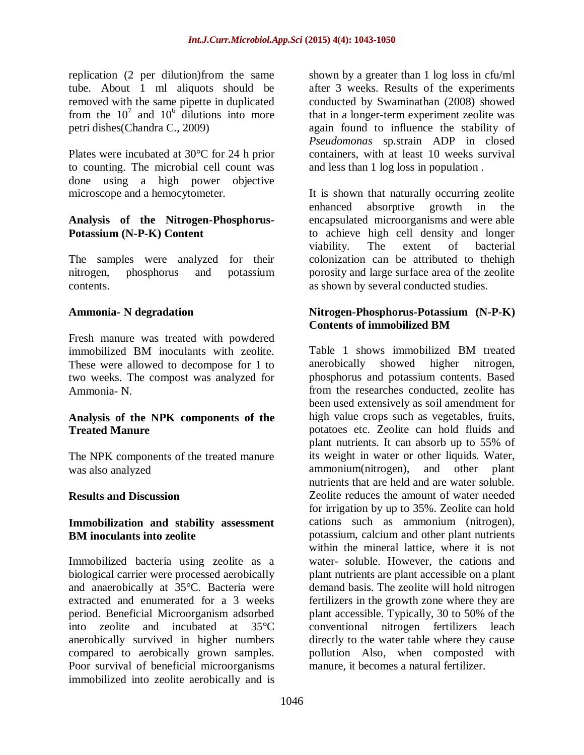replication (2 per dilution)from the same tube. About 1 ml aliquots should be removed with the same pipette in duplicated from the  $10^7$  and  $10^6$  dilutions into more petri dishes(Chandra C., 2009)

Plates were incubated at 30°C for 24 h prior to counting. The microbial cell count was done using a high power objective microscope and a hemocytometer.

#### **Analysis of the Nitrogen-Phosphorus-Potassium (N-P-K) Content**

The samples were analyzed for their nitrogen, phosphorus and potassium contents.

#### **Ammonia- N degradation**

Fresh manure was treated with powdered immobilized BM inoculants with zeolite. These were allowed to decompose for 1 to two weeks. The compost was analyzed for Ammonia- N.

#### **Analysis of the NPK components of the Treated Manure**

The NPK components of the treated manure was also analyzed

#### **Results and Discussion**

#### **Immobilization and stability assessment BM inoculants into zeolite**

Immobilized bacteria using zeolite as a biological carrier were processed aerobically and anaerobically at 35°C. Bacteria were extracted and enumerated for a 3 weeks period. Beneficial Microorganism adsorbed into zeolite and incubated at 35°C anerobically survived in higher numbers compared to aerobically grown samples. Poor survival of beneficial microorganisms immobilized into zeolite aerobically and is shown by a greater than 1 log loss in cfu/ml after 3 weeks. Results of the experiments conducted by Swaminathan (2008) showed that in a longer-term experiment zeolite was again found to influence the stability of *Pseudomonas* sp.strain ADP in closed containers, with at least 10 weeks survival and less than 1 log loss in population .

It is shown that naturally occurring zeolite enhanced absorptive growth in the encapsulated microorganisms and were able to achieve high cell density and longer viability. The extent of bacterial colonization can be attributed to thehigh porosity and large surface area of the zeolite as shown by several conducted studies.

### **Nitrogen-Phosphorus-Potassium (N-P-K) Contents of immobilized BM**

Table 1 shows immobilized BM treated anerobically showed higher nitrogen, phosphorus and potassium contents. Based from the researches conducted, zeolite has been used extensively as soil amendment for high value crops such as vegetables, fruits, potatoes etc. Zeolite can hold fluids and plant nutrients. It can absorb up to 55% of its weight in water or other liquids. Water, ammonium(nitrogen), and other plant nutrients that are held and are water soluble. Zeolite reduces the amount of water needed for irrigation by up to 35%. Zeolite can hold cations such as ammonium (nitrogen), potassium, calcium and other plant nutrients within the mineral lattice, where it is not water- soluble. However, the cations and plant nutrients are plant accessible on a plant demand basis. The zeolite will hold nitrogen fertilizers in the growth zone where they are plant accessible. Typically, 30 to 50% of the conventional nitrogen fertilizers leach directly to the water table where they cause pollution Also, when composted with manure, it becomes a natural fertilizer.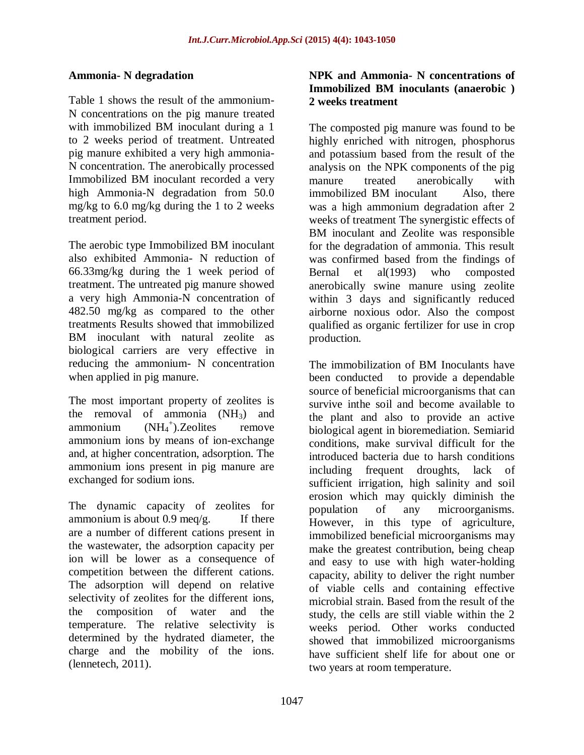# **Ammonia- N degradation**

Table 1 shows the result of the ammonium-N concentrations on the pig manure treated with immobilized BM inoculant during a 1 to 2 weeks period of treatment. Untreated pig manure exhibited a very high ammonia-N concentration. The anerobically processed Immobilized BM inoculant recorded a very high Ammonia-N degradation from 50.0 mg/kg to 6.0 mg/kg during the 1 to 2 weeks treatment period.

The aerobic type Immobilized BM inoculant also exhibited Ammonia- N reduction of 66.33mg/kg during the 1 week period of treatment. The untreated pig manure showed a very high Ammonia-N concentration of 482.50 mg/kg as compared to the other treatments Results showed that immobilized BM inoculant with natural zeolite as biological carriers are very effective in reducing the ammonium- N concentration when applied in pig manure.

The most important property of zeolites is the removal of ammonia  $(NH_3)$  and ammonium + ).Zeolites remove ammonium ions by means of ion-exchange and, at higher concentration, adsorption. The ammonium ions present in pig manure are exchanged for sodium ions.

The dynamic capacity of zeolites for ammonium is about  $0.9 \text{~meq/g}$ . If there are a number of different cations present in the wastewater, the adsorption capacity per ion will be lower as a consequence of competition between the different cations. The adsorption will depend on relative selectivity of zeolites for the different ions, the composition of water and the temperature. The relative selectivity is determined by the hydrated diameter, the charge and the mobility of the ions. (lennetech, 2011).

# **NPK and Ammonia- N concentrations of Immobilized BM inoculants (anaerobic ) 2 weeks treatment**

The composted pig manure was found to be highly enriched with nitrogen, phosphorus and potassium based from the result of the analysis on the NPK components of the pig manure treated anerobically with immobilized BM inoculant Also, there was a high ammonium degradation after 2 weeks of treatment The synergistic effects of BM inoculant and Zeolite was responsible for the degradation of ammonia. This result was confirmed based from the findings of Bernal et al(1993) who composted anerobically swine manure using zeolite within 3 days and significantly reduced airborne noxious odor. Also the compost qualified as organic fertilizer for use in crop production.

The immobilization of BM Inoculants have been conducted to provide a dependable source of beneficial microorganisms that can survive inthe soil and become available to the plant and also to provide an active biological agent in bioremediation. Semiarid conditions, make survival difficult for the introduced bacteria due to harsh conditions including frequent droughts, lack of sufficient irrigation, high salinity and soil erosion which may quickly diminish the population of any microorganisms. However, in this type of agriculture, immobilized beneficial microorganisms may make the greatest contribution, being cheap and easy to use with high water-holding capacity, ability to deliver the right number of viable cells and containing effective microbial strain. Based from the result of the study, the cells are still viable within the 2 weeks period. Other works conducted showed that immobilized microorganisms have sufficient shelf life for about one or two years at room temperature.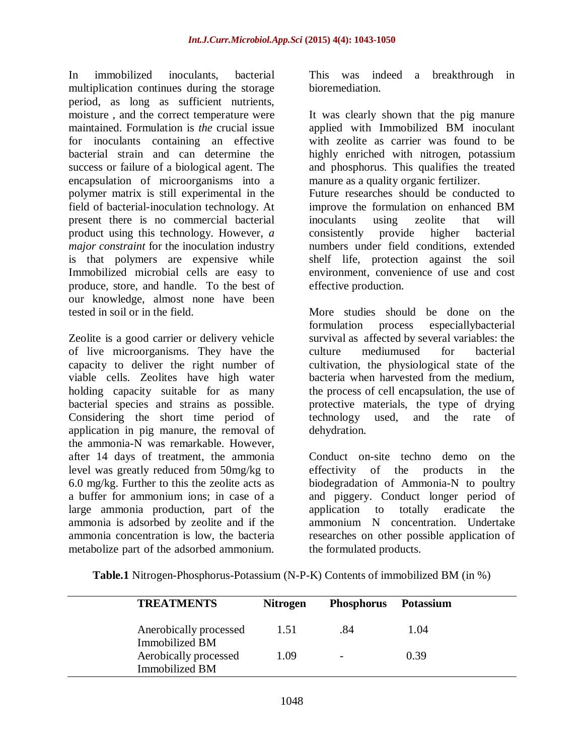In immobilized inoculants, bacterial multiplication continues during the storage period, as long as sufficient nutrients, moisture , and the correct temperature were maintained. Formulation is *the* crucial issue for inoculants containing an effective bacterial strain and can determine the success or failure of a biological agent. The encapsulation of microorganisms into a polymer matrix is still experimental in the field of bacterial-inoculation technology. At present there is no commercial bacterial product using this technology. However, *a major constraint* for the inoculation industry is that polymers are expensive while Immobilized microbial cells are easy to produce, store, and handle. To the best of our knowledge, almost none have been tested in soil or in the field.

Zeolite is a good carrier or delivery vehicle of live microorganisms. They have the capacity to deliver the right number of viable cells. Zeolites have high water holding capacity suitable for as many bacterial species and strains as possible. Considering the short time period of application in pig manure, the removal of the ammonia-N was remarkable. However, after 14 days of treatment, the ammonia level was greatly reduced from 50mg/kg to 6.0 mg/kg. Further to this the zeolite acts as a buffer for ammonium ions; in case of a large ammonia production, part of the ammonia is adsorbed by zeolite and if the ammonia concentration is low, the bacteria metabolize part of the adsorbed ammonium.

This was indeed a breakthrough in bioremediation.

It was clearly shown that the pig manure applied with Immobilized BM inoculant with zeolite as carrier was found to be highly enriched with nitrogen, potassium and phosphorus. This qualifies the treated manure as a quality organic fertilizer.

Future researches should be conducted to improve the formulation on enhanced BM inoculants using zeolite that will consistently provide higher bacterial numbers under field conditions, extended shelf life, protection against the soil environment, convenience of use and cost effective production.

More studies should be done on the formulation process especiallybacterial survival as affected by several variables: the culture mediumused for bacterial cultivation, the physiological state of the bacteria when harvested from the medium, the process of cell encapsulation, the use of protective materials, the type of drying technology used, and the rate of dehydration.

Conduct on-site techno demo on the effectivity of the products in the biodegradation of Ammonia-N to poultry and piggery. Conduct longer period of application to totally eradicate the ammonium N concentration. Undertake researches on other possible application of the formulated products.

**Table.1** Nitrogen-Phosphorus-Potassium (N-P-K) Contents of immobilized BM (in %)

| <b>TREATMENTS</b>                        | <b>Nitrogen</b> | Phosphorus Potassium     |      |
|------------------------------------------|-----------------|--------------------------|------|
| Anerobically processed<br>Immobilized BM | 1.51            | .84                      | 1.04 |
| Aerobically processed<br>Immobilized BM  | 1.09            | $\overline{\phantom{a}}$ | 0.39 |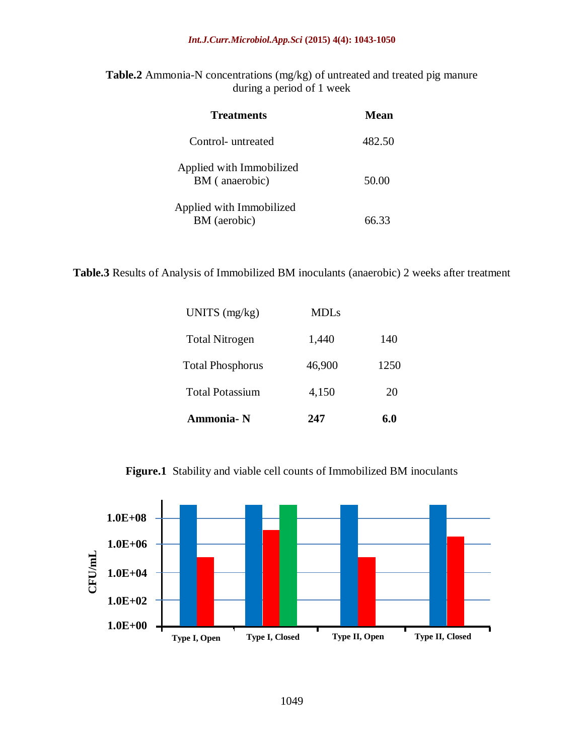**Table.2** Ammonia-N concentrations (mg/kg) of untreated and treated pig manure during a period of 1 week

| <b>Treatments</b>                          | Mean   |
|--------------------------------------------|--------|
| Control- untreated                         | 482.50 |
| Applied with Immobilized<br>BM (anaerobic) | 50.00  |
| Applied with Immobilized<br>BM (aerobic)   |        |

**Table.3** Results of Analysis of Immobilized BM inoculants (anaerobic) 2 weeks after treatment

| Ammonia-N               | 247    | 6 በ  |
|-------------------------|--------|------|
| <b>Total Potassium</b>  | 4,150  | 20   |
| <b>Total Phosphorus</b> | 46,900 | 1250 |
| <b>Total Nitrogen</b>   | 1,440  | 140  |
| UNITS $(mg/kg)$         | MDL s  |      |

**Figure.1** Stability and viable cell counts of Immobilized BM inoculants